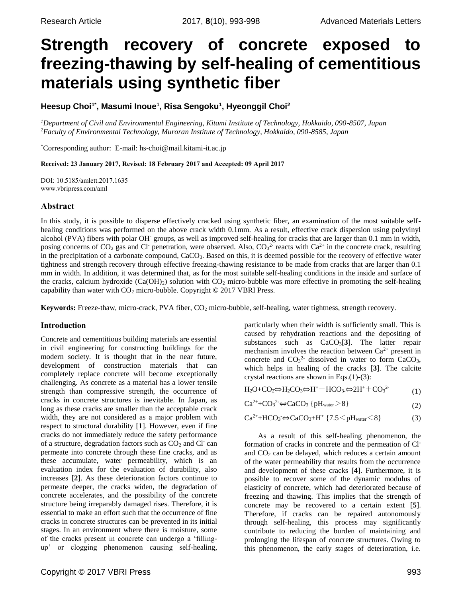# **Strength recovery of concrete exposed to freezing-thawing by self-healing of cementitious materials using synthetic fiber**

**Heesup Choi1\*, Masumi Inoue<sup>1</sup> , Risa Sengoku<sup>1</sup> , Hyeonggil Choi<sup>2</sup>**

*<sup>1</sup>Department of Civil and Environmental Engineering, Kitami Institute of Technology, Hokkaido, 090-8507, Japan <sup>2</sup>Faculty of Environmental Technology, Muroran Institute of Technology, Hokkaido, 090-8585, Japan*

\*Corresponding author: E-mail: [hs-choi@mail.kitami-it.ac.jp](mailto:hs-choi@mail.kitami-it.ac.jp)

Received: 23 January 2017, Revised: 18 February 2017 and Accepted: 09 April 2017

DOI: 10.5185/amlett.2017.1635 www.vbripress.com/aml

# Abstract

In this study, it is possible to disperse effectively cracked using synthetic fiber, an examination of the most suitable selfhealing conditions was performed on the above crack width 0.1mm. As a result, effective crack dispersion using polyvinyl alcohol (PVA) fibers with polar OH- groups, as well as improved self-healing for cracks that are larger than 0.1 mm in width, posing concerns of CO<sub>2</sub> gas and Cl<sup>-</sup> penetration, were observed. Also, CO<sub>3</sub><sup>2-</sup> reacts with Ca<sup>2+</sup> in the concrete crack, resulting in the precipitation of a carbonate compound, CaCO<sub>3</sub>. Based on this, it is deemed possible for the recovery of effective water tightness and strength recovery through effective freezing-thawing resistance to be made from cracks that are larger than 0.1 mm in width. In addition, it was determined that, as for the most suitable self-healing conditions in the inside and surface of the cracks, calcium hydroxide  $(Ca(OH)_2)$  solution with  $CO_2$  micro-bubble was more effective in promoting the self-healing capability than water with  $CO<sub>2</sub>$  micro-bubble. Copyright  $©$  2017 VBRI Press.

**Keywords:** Freeze-thaw, micro-crack, PVA fiber, CO<sub>2</sub> micro-bubble, self-healing, water tightness, strength recovery.

# Introduction

Concrete and cementitious building materials are essential in civil engineering for constructing buildings for the modern society. It is thought that in the near future, development of construction materials that can completely replace concrete will become exceptionally challenging. As concrete as a material has a lower tensile strength than compressive strength, the occurrence of cracks in concrete structures is inevitable. In Japan, as long as these cracks are smaller than the acceptable crack width, they are not considered as a major problem with respect to structural durability [**1**]. However, even if fine cracks do not immediately reduce the safety performance of a structure, degradation factors such as  $CO<sub>2</sub>$  and Cl can permeate into concrete through these fine cracks, and as these accumulate, water permeability, which is an evaluation index for the evaluation of durability, also increases [**2**]. As these deterioration factors continue to permeate deeper, the cracks widen, the degradation of concrete accelerates, and the possibility of the concrete structure being irreparably damaged rises. Therefore, it is essential to make an effort such that the occurrence of fine cracks in concrete structures can be prevented in its initial stages. In an environment where there is moisture, some of the cracks present in concrete can undergo a 'fillingup' or clogging phenomenon causing self-healing,

particularly when their width is sufficiently small. This is caused by rehydration reactions and the depositing of substances such as CaCO<sub>3</sub>[3]. The latter repair mechanism involves the reaction between  $Ca^{2+}$  present in concrete and  $CO<sub>3</sub><sup>2</sup>$  dissolved in water to form CaCO<sub>3</sub>, which helps in healing of the cracks [**3**]. The calcite crystal reactions are shown in Eqs.(1)-(3):

| $\text{H}_2\text{O}+\text{CO}_2 \Leftrightarrow \text{H}_2\text{CO}_3 \Leftrightarrow \text{H}^+ + \text{HCO}_3 \Leftrightarrow 2\text{H}^+ + \text{CO}_3{}^2$ | (1) |
|----------------------------------------------------------------------------------------------------------------------------------------------------------------|-----|
|----------------------------------------------------------------------------------------------------------------------------------------------------------------|-----|

$$
Ca^{2+}+CO_3^{2-} \Leftrightarrow CaCO_3 \{pH_{water} > 8\}
$$
 (2)

$$
Ca^{2+} + HCO_3 \Leftrightarrow CaCO_3 + H^+ \{7.5 \leq pH_{water} \leq 8\}
$$
 (3)

As a result of this self-healing phenomenon, the formation of cracks in concrete and the permeation of Cland  $CO<sub>2</sub>$  can be delayed, which reduces a certain amount of the water permeability that results from the occurrence and development of these cracks [**4**]. Furthermore, it is possible to recover some of the dynamic modulus of elasticity of concrete, which had deteriorated because of freezing and thawing. This implies that the strength of concrete may be recovered to a certain extent [**5**]. Therefore, if cracks can be repaired autonomously through self-healing, this process may significantly contribute to reducing the burden of maintaining and prolonging the lifespan of concrete structures. Owing to this phenomenon, the early stages of deterioration, i.e.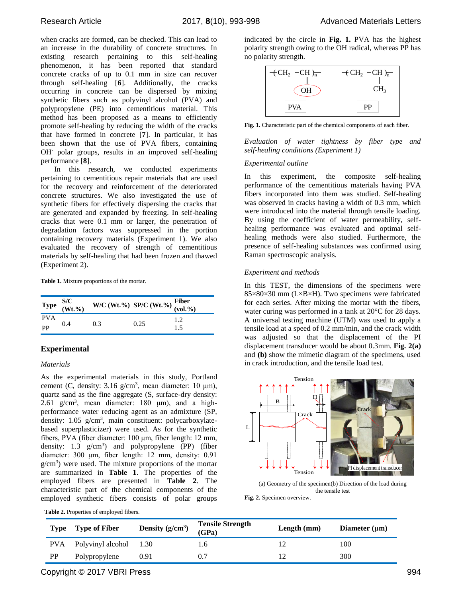when cracks are formed, can be checked. This can lead to an increase in the durability of concrete structures. In existing research pertaining to this self-healing phenomenon, it has been reported that standard concrete cracks of up to 0.1 mm in size can recover through self-healing [**6**]. Additionally, the cracks occurring in concrete can be dispersed by mixing synthetic fibers such as polyvinyl alcohol (PVA) and polypropylene (PE) into cementitious material. This method has been proposed as a means to efficiently promote self-healing by reducing the width of the cracks that have formed in concrete [**7**]. In particular, it has been shown that the use of PVA fibers, containing OH- polar groups, results in an improved self-healing performance [**8**].

In this research, we conducted experiments pertaining to cementitious repair materials that are used for the recovery and reinforcement of the deteriorated concrete structures. We also investigated the use of synthetic fibers for effectively dispersing the cracks that are generated and expanded by freezing. In self-healing cracks that were 0.1 mm or larger, the penetration of degradation factors was suppressed in the portion containing recovery materials (Experiment 1). We also evaluated the recovery of strength of cementitious materials by self-healing that had been frozen and thawed (Experiment 2).

**Table 1.** Mixture proportions of the mortar.

|            | Type $\frac{S/C}{(Wt, \%)}$ | W/C (Wt.%) SP/C (Wt.%) $\frac{\text{Fiber}}{\text{(vol.%)}}$ |      |     |
|------------|-----------------------------|--------------------------------------------------------------|------|-----|
| <b>PVA</b> |                             |                                                              |      | 12  |
| PP         | 0.4                         | 0.3                                                          | 0.25 | 1.5 |

# **Experimental**

## *Materials*

As the experimental materials in this study, Portland cement (C, density:  $3.16 \text{ g/cm}^3$ , mean diameter: 10 µm), quartz sand as the fine aggregate (S, surface-dry density: 2.61 g/cm<sup>3</sup>, mean diameter: 180  $\mu$ m), and a highperformance water reducing agent as an admixture (SP, density: 1.05 g/cm<sup>3</sup>, main constituent: polycarboxylatebased superplasticizer) were used. As for the synthetic fibers, PVA (fiber diameter: 100 μm, fiber length: 12 mm, density: 1.3  $g/cm^3$ ) and polypropylene (PP) (fiber diameter: 300 μm, fiber length: 12 mm, density: 0.91  $g/cm<sup>3</sup>$ ) were used. The mixture proportions of the mortar are summarized in **Table 1**. The properties of the employed fibers are presented in **Table 2**. The characteristic part of the chemical components of the employed synthetic fibers consists of polar groups gni gdir b

|  |  | <b>Table 2.</b> Properties of employed fibers. |  |
|--|--|------------------------------------------------|--|
|--|--|------------------------------------------------|--|

indicated by the circle in **Fig. 1.** PVA has the highest polarity strength owing to the OH radical, whereas PP has no polarity strength.



**Fig. 1.** Characteristic part of the chemical components of each fiber.

*Evaluation of water tightness by fiber type and self-healing conditions (Experiment 1)*

#### *Experimental outline*

In this experiment, the composite self-healing performance of the cementitious materials having PVA fibers incorporated into them was studied. Self-healing was observed in cracks having a width of 0.3 mm, which were introduced into the material through tensile loading. By using the coefficient of water permeability, selfhealing performance was evaluated and optimal selfhealing methods were also studied. Furthermore, the presence of self-healing substances was confirmed using Raman spectroscopic analysis.

#### *Experiment and methods*

In this TEST, the dimensions of the specimens were 85×80×30 mm (L×B×H). Two specimens were fabricated for each series. After mixing the mortar with the fibers, water curing was performed in a tank at 20°C for 28 days. A universal testing machine (UTM) was used to apply a tensile load at a speed of 0.2 mm/min, and the crack width was adjusted so that the displacement of the PI displacement transducer would be about 0.3mm. **Fig. 2(a)**  and **(b)** show the mimetic diagram of the specimens, used in crack introduction, and the tensile load test.



(a) Geometry of the specimen(b) Direction of the load during the tensile test **Fig. 2.** Specimen overview.

| Type      | Type of Fiber          | Density $(g/cm^3)$ | <b>Tensile Strength</b><br>(GPa) | Length $(mm)$ | Diameter $(\mu m)$ |
|-----------|------------------------|--------------------|----------------------------------|---------------|--------------------|
| PVA.      | Polyvinyl alcohol 1.30 |                    | 1.6                              |               | 100                |
| <b>PP</b> | Polypropylene          | 0.91               | 0.7                              |               | 300                |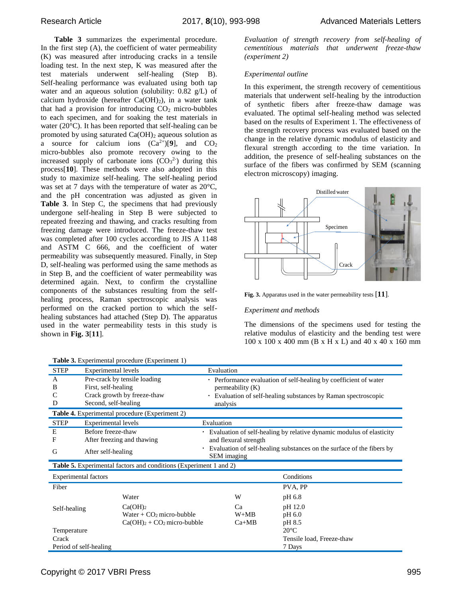**Table 3** summarizes the experimental procedure. In the first step  $(A)$ , the coefficient of water permeability (K) was measured after introducing cracks in a tensile loading test. In the next step, K was measured after the test materials underwent self-healing (Step B). Self-healing performance was evaluated using both tap water and an aqueous solution (solubility: 0.82 g/L) of calcium hydroxide (hereafter  $Ca(OH)_2$ ), in a water tank that had a provision for introducing  $CO<sub>2</sub>$  micro-bubbles to each specimen, and for soaking the test materials in water (20°C). It has been reported that self-healing can be promoted by using saturated  $Ca(OH)_2$  aqueous solution as a source for calcium ions  $(Ca^{2+})[9]$ , and  $CO<sub>2</sub>$ micro-bubbles also promote recovery owing to the increased supply of carbonate ions  $(CO<sub>3</sub><sup>2</sup>)$  during this process[**10**]. These methods were also adopted in this study to maximize self-healing. The self-healing period was set at 7 days with the temperature of water as 20°C, and the pH concentration was adjusted as given in **Table 3**. In Step C, the specimens that had previously undergone self-healing in Step B were subjected to repeated freezing and thawing, and cracks resulting from freezing damage were introduced. The freeze-thaw test was completed after 100 cycles according to JIS A 1148 and ASTM C 666, and the coefficient of water permeability was subsequently measured. Finally, in Step D, self-healing was performed using the same methods as in Step B, and the coefficient of water permeability was determined again. Next, to confirm the crystalline components of the substances resulting from the selfhealing process, Raman spectroscopic analysis was performed on the cracked portion to which the selfhealing substances had attached (Step D). The apparatus used in the water permeability tests in this study is shown in **Fig. 3**[**11**].

| Evaluation of strength recovery from self-healing of |  |  |  |
|------------------------------------------------------|--|--|--|
| cementitious materials that underwent freeze-thaw    |  |  |  |
| <i>(experiment 2)</i>                                |  |  |  |

#### *Experimental outline*

In this experiment, the strength recovery of cementitious materials that underwent self-healing by the introduction of synthetic fibers after freeze-thaw damage was evaluated. The optimal self-healing method was selected based on the results of Experiment 1. The effectiveness of the strength recovery process was evaluated based on the change in the relative dynamic modulus of elasticity and flexural strength according to the time variation. In addition, the presence of self-healing substances on the surface of the fibers was confirmed by SEM (scanning electron microscopy) imaging.



**Fig. 3.** Apparatus used in the water permeability tests [**11**].

## *Experiment and methods*

The dimensions of the specimens used for testing the relative modulus of elasticity and the bending test were 100 x 100 x 400 mm (B x H x L) and 40 x 40 x 160 mm

|                                           | <b>Table 3.</b> Experimental procedure (Experiment 1)                                                      |                                                                                                                                                                    |  |
|-------------------------------------------|------------------------------------------------------------------------------------------------------------|--------------------------------------------------------------------------------------------------------------------------------------------------------------------|--|
| <b>STEP</b>                               | <b>Experimental levels</b>                                                                                 | Evaluation                                                                                                                                                         |  |
| A<br>B<br>D                               | Pre-crack by tensile loading<br>First, self-healing<br>Crack growth by freeze-thaw<br>Second, self-healing | • Performance evaluation of self-healing by coefficient of water<br>permeability (K)<br>• Evaluation of self-healing substances by Raman spectroscopic<br>analysis |  |
|                                           | <b>Table 4.</b> Experimental procedure (Experiment 2)                                                      |                                                                                                                                                                    |  |
| <b>STEP</b>                               | Experimental levels                                                                                        | Evaluation                                                                                                                                                         |  |
| E                                         | Before freeze-thaw                                                                                         | • Evaluation of self-healing by relative dynamic modulus of elasticity                                                                                             |  |
| F                                         | After freezing and thawing                                                                                 | and flexural strength                                                                                                                                              |  |
| G                                         | After self-healing                                                                                         | Evaluation of self-healing substances on the surface of the fibers by<br>٠<br><b>SEM</b> imaging                                                                   |  |
|                                           | <b>Table 5.</b> Experimental factors and conditions (Experiment 1 and 2)                                   |                                                                                                                                                                    |  |
| <b>Experimental factors</b><br>Conditions |                                                                                                            |                                                                                                                                                                    |  |
| Fiber                                     |                                                                                                            | PVA, PP                                                                                                                                                            |  |
|                                           | Water                                                                                                      | W<br>pH 6.8                                                                                                                                                        |  |
| Self-healing                              | Ca(OH) <sub>2</sub>                                                                                        | pH 12.0<br>Ca                                                                                                                                                      |  |
|                                           | Water $+$ CO <sub>2</sub> micro-bubble                                                                     | $W+MB$<br>pH 6.0                                                                                                                                                   |  |
|                                           | $Ca(OH)2 + CO2$ micro-bubble                                                                               | $Ca+MB$<br>pH 8.5                                                                                                                                                  |  |
| Temperature                               |                                                                                                            | $20^{\circ}$ C                                                                                                                                                     |  |
| Crack                                     |                                                                                                            | Tensile load, Freeze-thaw                                                                                                                                          |  |
|                                           | Period of self-healing                                                                                     | 7 Days                                                                                                                                                             |  |

**Table 3.** Experimental procedure (Experiment 1)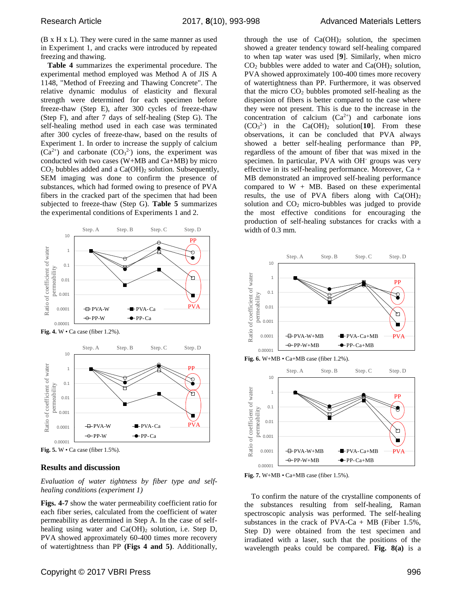(B x H x L). They were cured in the same manner as used in Experiment 1, and cracks were introduced by repeated freezing and thawing.

**Table 4** summarizes the experimental procedure. The experimental method employed was Method A of JIS A 1148, "Method of Freezing and Thawing Concrete". The relative dynamic modulus of elasticity and flexural strength were determined for each specimen before freeze-thaw (Step E), after 300 cycles of freeze-thaw (Step F), and after 7 days of self-healing (Step G). The self-healing method used in each case was terminated after 300 cycles of freeze-thaw, based on the results of Experiment 1. In order to increase the supply of calcium  $(Ca^{2+})$  and carbonate  $(CO<sub>3</sub><sup>2</sup>)$  ions, the experiment was conducted with two cases (W+MB and Ca+MB) by micro  $CO<sub>2</sub>$  bubbles added and a  $Ca(OH)<sub>2</sub>$  solution. Subsequently, SEM imaging was done to confirm the presence of substances, which had formed owing to presence of PVA fibers in the cracked part of the specimen that had been subjected to freeze-thaw (Step G). **Table 5** summarizes the experimental conditions of Experiments 1 and 2.





**Fig. 5.** W • Ca case (fiber 1.5%).

## **Results and discussion**

*Evaluation of water tightness by fiber type and selfhealing conditions (experiment 1)*

**Figs. 4-7** show the water permeability coefficient ratio for each fiber series, calculated from the coefficient of water permeability as determined in Step A. In the case of selfhealing using water and  $Ca(OH)_2$  solution, i.e. Step D, PVA showed approximately 60-400 times more recovery of watertightness than PP **(Figs 4 and 5)**. Additionally,

through the use of  $Ca(OH)_2$  solution, the specimen showed a greater tendency toward self-healing compared to when tap water was used [**9**]. Similarly, when micro  $CO<sub>2</sub>$  bubbles were added to water and  $Ca(OH)<sub>2</sub>$  solution, PVA showed approximately 100-400 times more recovery of watertightness than PP. Furthermore, it was observed that the micro  $CO<sub>2</sub>$  bubbles promoted self-healing as the dispersion of fibers is better compared to the case where they were not present. This is due to the increase in the concentration of calcium  $(Ca^{2+})$  and carbonate ions  $(CO_3^2)$  in the  $Ca(OH)_2$  solution[10]. From these observations, it can be concluded that PVA always showed a better self-healing performance than PP, regardless of the amount of fiber that was mixed in the specimen. In particular, PVA with OH<sup>-</sup> groups was very effective in its self-healing performance. Moreover, Ca + MB demonstrated an improved self-healing performance compared to  $W + MB$ . Based on these experimental results, the use of PVA fibers along with  $Ca(OH)_2$ solution and  $CO<sub>2</sub>$  micro-bubbles was judged to provide the most effective conditions for encouraging the production of self-healing substances for cracks with a width of 0.3 mm.



**Fig. 7.** W+MB • Ca+MB case (fiber 1.5%).

To confirm the nature of the crystalline components of the substances resulting from self-healing, Raman spectroscopic analysis was performed. The self-healing substances in the crack of  $PVA-Ca + MB$  (Fiber 1.5%, Step D) were obtained from the test specimen and irradiated with a laser, such that the positions of the wavelength peaks could be compared. **Fig. 8(a)** is a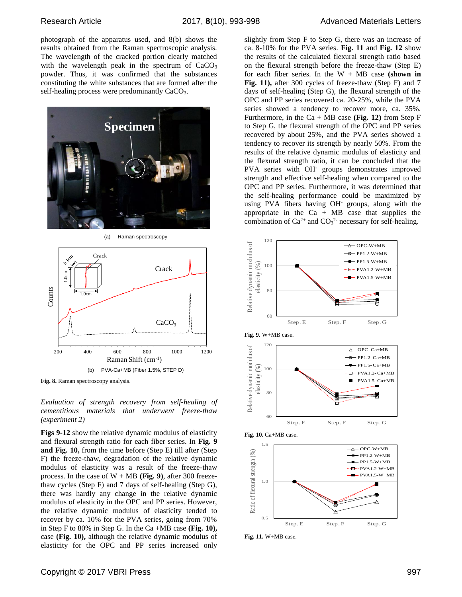photograph of the apparatus used, and 8(b) shows the results obtained from the Raman spectroscopic analysis. The wavelength of the cracked portion clearly matched with the wavelength peak in the spectrum of  $CaCO<sub>3</sub>$ powder. Thus, it was confirmed that the substances constituting the white substances that are formed after the self-healing process were predominantly CaCO<sub>3</sub>.



(a) Raman spectroscopy



**Fig. 8.** Raman spectroscopy analysis.

*Evaluation of strength recovery from self-healing of cementitious materials that underwent freeze-thaw (experiment 2)*

**Figs 9-12** show the relative dynamic modulus of elasticity and flexural strength ratio for each fiber series. In **Fig. 9 and Fig. 10,** from the time before (Step E) till after (Step F) the freeze-thaw, degradation of the relative dynamic modulus of elasticity was a result of the freeze-thaw process. In the case of W + MB **(Fig. 9)**, after 300 freezethaw cycles (Step F) and 7 days of self-healing (Step G), there was hardly any change in the relative dynamic modulus of elasticity in the OPC and PP series. However, the relative dynamic modulus of elasticity tended to recover by ca. 10% for the PVA series, going from 70% in Step F to 80% in Step G. In the Ca +MB case **(Fig. 10),** case **(Fig. 10),** although the relative dynamic modulus of elasticity for the OPC and PP series increased only

Copyright © 2017 VBRI Press 997

slightly from Step F to Step G, there was an increase of ca. 8-10% for the PVA series. **Fig. 11** and **Fig. 12** show the results of the calculated flexural strength ratio based on the flexural strength before the freeze-thaw (Step E) for each fiber series. In the  $W + MB$  case (shown in **Fig. 11),** after 300 cycles of freeze-thaw (Step F) and 7 days of self-healing (Step G), the flexural strength of the OPC and PP series recovered ca. 20-25%, while the PVA series showed a tendency to recover more, ca. 35%. Furthermore, in the  $Ca + MB$  case (Fig. 12) from Step F to Step G, the flexural strength of the OPC and PP series recovered by about 25%, and the PVA series showed a tendency to recover its strength by nearly 50%. From the results of the relative dynamic modulus of elasticity and the flexural strength ratio, it can be concluded that the PVA series with OH<sup>-</sup> groups demonstrates improved strength and effective self-healing when compared to the OPC and PP series. Furthermore, it was determined that the self-healing performance could be maximized by using PVA fibers having OH- groups, along with the appropriate in the  $Ca + MB$  case that supplies the combination of  $Ca^{2+}$  and  $CO<sub>3</sub><sup>2-</sup>$  necessary for self-healing.



**Fig. 11.** W+MB case.